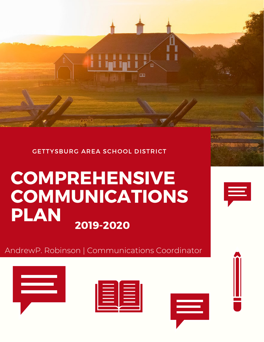GETTYSBURG AREA SCHOOL DISTRICT

œ

# **COMPREHENSIVE** COMMUNICATIONS PLAN 2019-2020

AndrewP. Robinson | Communications Coordinator



| <b>Contract Contract Contract Contract</b> | and the contract of the contract of |
|--------------------------------------------|-------------------------------------|
| and the control of the control of          | the control of the control          |
| the contract of the contract of            | the contract of the con-            |
| the contract of the contract of            | the contract of the contract of     |
|                                            |                                     |
|                                            |                                     |
|                                            |                                     |
|                                            |                                     |

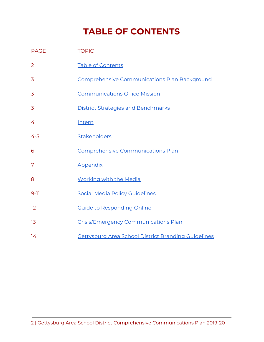### **TABLE OF CONTENTS**

<span id="page-1-0"></span>

| <b>PAGE</b> | <b>TOPIC</b>                                               |
|-------------|------------------------------------------------------------|
| 2           | <b>Table of Contents</b>                                   |
| 3           | <b>Comprehensive Communications Plan Background</b>        |
| 3           | <b>Communications Office Mission</b>                       |
| 3           | <b>District Strategies and Benchmarks</b>                  |
| 4           | Intent                                                     |
| $4 - 5$     | Stakeholders                                               |
| 6           | <b>Comprehensive Communications Plan</b>                   |
| 7           | <b>Appendix</b>                                            |
| 8           | <b>Working with the Media</b>                              |
| $9 - 11$    | <b>Social Media Policy Guidelines</b>                      |
| 12          | <b>Guide to Responding Online</b>                          |
| 13          | Crisis/Emergency Communications Plan                       |
| 14          | <b>Gettysburg Area School District Branding Guidelines</b> |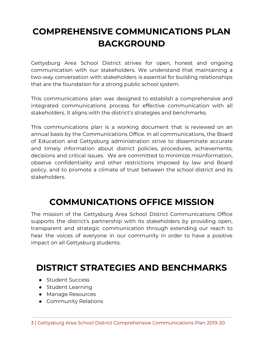## <span id="page-2-0"></span>**COMPREHENSIVE COMMUNICATIONS PLAN BACKGROUND**

Gettysburg Area School District strives for open, honest and ongoing communication with our stakeholders. We understand that maintaining a two-way conversation with stakeholders is essential for building relationships that are the foundation for a strong public school system.

This communications plan was designed to establish a comprehensive and integrated communications process for effective communication with all stakeholders. It aligns with the district's strategies and benchmarks.

This communications plan is a working document that is reviewed on an annual basis by the Communications Office. In all communications, the Board of Education and Gettysburg administration strive to disseminate accurate and timely information about district policies, procedures, achievements, decisions and critical issues. We are committed to minimize misinformation, observe confidentiality and other restrictions imposed by law and Board policy, and to promote a climate of trust between the school district and its stakeholders.

### <span id="page-2-1"></span>**COMMUNICATIONS OFFICE MISSION**

The mission of the Gettysburg Area School District Communications Office supports the district's partnership with its stakeholders by providing open, transparent and strategic communication through extending our reach to hear the voices of everyone in our community in order to have a positive impact on all Gettysburg students.

### <span id="page-2-2"></span>**DISTRICT STRATEGIES AND BENCHMARKS**

- Student Success
- Student Learning
- Manage Resources
- Community Relations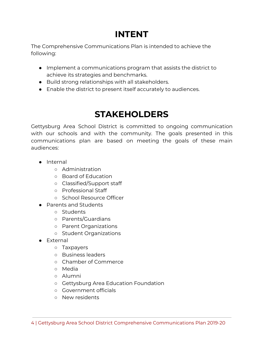### **INTENT**

<span id="page-3-0"></span>The Comprehensive Communications Plan is intended to achieve the following:

- Implement a communications program that assists the district to achieve its strategies and benchmarks.
- Build strong relationships with all stakeholders.
- <span id="page-3-1"></span>● Enable the district to present itself accurately to audiences.

## **STAKEHOLDERS**

Gettysburg Area School District is committed to ongoing communication with our schools and with the community. The goals presented in this communications plan are based on meeting the goals of these main audiences:

- Internal
	- Administration
	- Board of Education
	- Classified/Support staff
	- Professional Staff
	- School Resource Officer
- Parents and Students
	- Students
	- Parents/Guardians
	- Parent Organizations
	- Student Organizations
- External
	- Taxpayers
	- Business leaders
	- Chamber of Commerce
	- Media
	- Alumni
	- Gettysburg Area Education Foundation
	- Government officials
	- New residents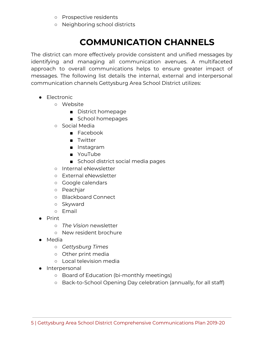- Prospective residents
- Neighboring school districts

## **COMMUNICATION CHANNELS**

The district can more effectively provide consistent and unified messages by identifying and managing all communication avenues. A multifaceted approach to overall communications helps to ensure greater impact of messages. The following list details the internal, external and interpersonal communication channels Gettysburg Area School District utilizes:

- Electronic
	- Website
		- District homepage
		- School homepages
	- Social Media
		- Facebook
		- Twitter
		- Instagram
		- YouTube
		- School district social media pages
	- Internal eNewsletter
	- External eNewsletter
	- Google calendars
	- Peachjar
	- Blackboard Connect
	- Skyward
	- Email
- Print
	- *The Vision* newsletter
	- New resident brochure
- Media
	- *○ Gettysburg Times*
	- Other print media
	- Local television media
- Interpersonal
	- Board of Education (bi-monthly meetings)
	- Back-to-School Opening Day celebration (annually, for all staff)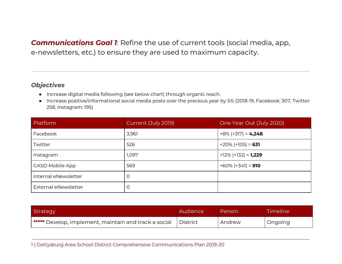*Communications Goal 1*: Refine the use of current tools (social media, app, e-newsletters, etc.) to ensure they are used to maximum capacity.

#### *Objectives*

- Increase digital media following (see below chart) through organic reach.
- Increase positive/informational social media posts over the previous year by 5% (2018-19, Facebook: 307, Twitter: 258, Instagram: 195)

| Platform               | Current (July 2019) | One Year Out (July 2020)      |
|------------------------|---------------------|-------------------------------|
| Facebook               | 3,961               | $+8\%$ (+317) = 4,248         |
| Twitter                | 526                 | $+20\% (+105) = 631$          |
| Instagram              | 1,097               | $+12\%$ (+132) = <b>1,229</b> |
| <b>GASD Mobile App</b> | 569                 | $+60\% (+34) = 910$           |
| Internal eNewsletter   | 0                   |                               |
| External eNewsletter   | 0                   |                               |

| Strategy                                              | Audience   | Person | Timeline <sup>'</sup> |
|-------------------------------------------------------|------------|--------|-----------------------|
| ***** Develop, implement, maintain and track a social | ' District | Andrew | Ongoing               |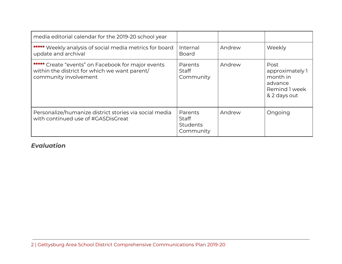| media editorial calendar for the 2019-20 school year                                                                         |                                                         |        |                                                                                 |
|------------------------------------------------------------------------------------------------------------------------------|---------------------------------------------------------|--------|---------------------------------------------------------------------------------|
| ***** Weekly analysis of social media metrics for board<br>update and archival                                               | Internal<br><b>Board</b>                                | Andrew | Weekly                                                                          |
| ***** Create "events" on Facebook for major events<br>within the district for which we want parent/<br>community involvement | Parents<br>Staff<br>Community                           | Andrew | Post<br>approximately 1<br>month in<br>advance<br>Remind 1 week<br>& 2 days out |
| Personalize/humanize district stories via social media<br>with continued use of #GASDisGreat                                 | Parents<br><b>Staff</b><br><b>Students</b><br>Community | Andrew | Ongoing                                                                         |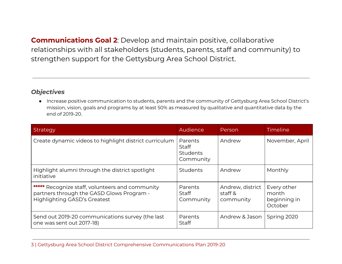**Communications Goal 2**: Develop and maintain positive, collaborative relationships with all stakeholders (students, parents, staff and community) to strengthen support for the Gettysburg Area School District.

#### *Objectives*

● Increase positive communication to students, parents and the community of Gettysburg Area School District's mission, vision, goals and programs by at least 50% as measured by qualitative and quantitative data by the end of 2019-20.

| <b>Strategy</b>                                                                                                              | Audience                                  | Person                                   | Timeline                                        |
|------------------------------------------------------------------------------------------------------------------------------|-------------------------------------------|------------------------------------------|-------------------------------------------------|
| Create dynamic videos to highlight district curriculum                                                                       | Parents<br>Staff<br>Students<br>Community | Andrew                                   | November, April                                 |
| Highlight alumni through the district spotlight<br>initiative                                                                | Students                                  | Andrew                                   | Monthly                                         |
| ***** Recognize staff, volunteers and community<br>partners through the GASD Glows Program -<br>Highlighting GASD's Greatest | Parents<br>Staff<br>Community             | Andrew, district<br>staff &<br>community | Every other<br>month<br>beginning in<br>October |
| Send out 2019-20 communications survey (the last<br>one was sent out 2017-18)                                                | Parents<br>Staff                          | Andrew & Jason                           | Spring 2020                                     |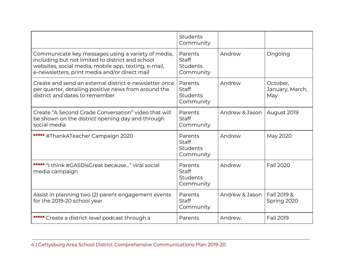|                                                                                                                                                                                                                 | Students<br>Community                                   |                |                                    |
|-----------------------------------------------------------------------------------------------------------------------------------------------------------------------------------------------------------------|---------------------------------------------------------|----------------|------------------------------------|
| Communicate key messages using a variety of media,<br>including but not limited to district and school<br>websites, social media, mobile app, texting, e-mail,<br>e-newsletters, print media and/or direct mail | Parents<br><b>Staff</b><br><b>Students</b><br>Community | Andrew         | Ongoing                            |
| Create and send an external district e-newsletter once<br>per quarter, detailing positive news from around the<br>district and dates to remember                                                                | Parents<br><b>Staff</b><br>Students<br>Community        | Andrew         | October,<br>January, March,<br>May |
| Create "A Second Grade Conversation" video that will<br>be shown on the district opening day and through<br>social media                                                                                        | Parents<br><b>Staff</b><br>Community                    | Andrew & Jason | August 2019                        |
| ***** #ThankATeacher Campaign 2020                                                                                                                                                                              | Parents<br><b>Staff</b><br><b>Students</b><br>Community | Andrew         | May 2020                           |
| ***** "I think #GASDisGreat because" viral social<br>media campaign                                                                                                                                             | Parents<br>Staff<br>Students<br>Community               | Andrew         | <b>Fall 2020</b>                   |
| Assist in planning two (2) parent engagement events<br>for the 2019-20 school year                                                                                                                              | Parents<br><b>Staff</b><br>Community                    | Andrew & Jason | Fall 2019 &<br>Spring 2020         |
| ***** Create a district-level podcast through a                                                                                                                                                                 | Parents                                                 | Andrew,        | Fall 2019                          |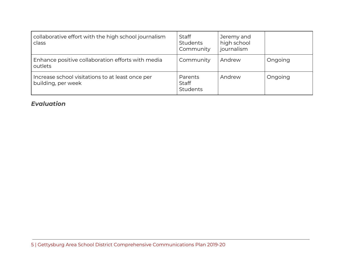| collaborative effort with the high school journalism<br>class          | Staff<br><b>Students</b><br>Community      | Jeremy and<br>high school<br>journalism |         |
|------------------------------------------------------------------------|--------------------------------------------|-----------------------------------------|---------|
| Enhance positive collaboration efforts with media<br>outlets           | Community                                  | Andrew                                  | Ongoing |
| Increase school visitations to at least once per<br>building, per week | Parents<br><b>Staff</b><br><b>Students</b> | Andrew                                  | Ongoing |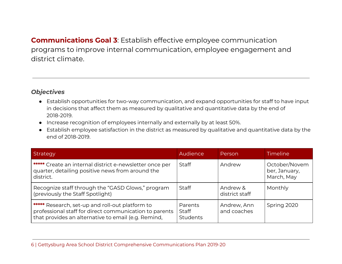**Communications Goal 3**: Establish effective employee communication programs to improve internal communication, employee engagement and district climate.

#### *Objectives*

- Establish opportunities for two-way communication, and expand opportunities for staff to have input in decisions that affect them as measured by qualitative and quantitative data by the end of 2018-2019.
- Increase recognition of employees internally and externally by at least 50%.
- Establish employee satisfaction in the district as measured by qualitative and quantitative data by the end of 2018-2019.

| Strategy                                                                                                                                                         | Audience                                   | Person                     | <b>Timeline</b>                              |
|------------------------------------------------------------------------------------------------------------------------------------------------------------------|--------------------------------------------|----------------------------|----------------------------------------------|
| ***** Create an internal district e-newsletter once per<br>quarter, detailing positive news from around the<br>district.                                         | <b>Staff</b>                               | Andrew                     | October/Novem<br>ber, January,<br>March, May |
| Recognize staff through the "GASD Glows," program<br>(previously the Staff Spotlight)                                                                            | Staff                                      | Andrew &<br>district staff | Monthly                                      |
| ***** Research, set-up and roll-out platform to<br>professional staff for direct communication to parents<br>that provides an alternative to email (e.g. Remind, | Parents<br><b>Staff</b><br><b>Students</b> | Andrew, Ann<br>and coaches | Spring 2020                                  |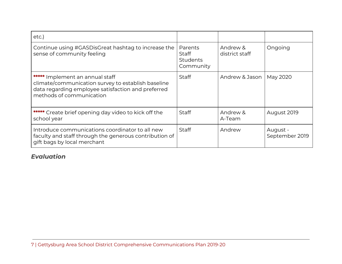| $etc.$ )                                                                                                                                                                |                                                         |                            |                            |
|-------------------------------------------------------------------------------------------------------------------------------------------------------------------------|---------------------------------------------------------|----------------------------|----------------------------|
| Continue using #GASDisGreat hashtag to increase the<br>sense of community feeling                                                                                       | Parents<br><b>Staff</b><br><b>Students</b><br>Community | Andrew &<br>district staff | Ongoing                    |
| ***** Implement an annual staff<br>climate/communication survey to establish baseline<br>data regarding employee satisfaction and preferred<br>methods of communication | <b>Staff</b>                                            | Andrew & Jason             | May 2020                   |
| ***** Create brief opening day video to kick off the<br>school year                                                                                                     | <b>Staff</b>                                            | Andrew &<br>A-Team         | August 2019                |
| Introduce communications coordinator to all new<br>faculty and staff through the generous contribution of<br>gift bags by local merchant                                | <b>Staff</b>                                            | Andrew                     | August -<br>September 2019 |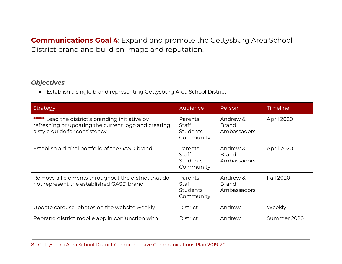**Communications Goal 4**: Expand and promote the Gettysburg Area School District brand and build on image and reputation.

#### *Objectives*

● Establish a single brand representing Gettysburg Area School District.

| <b>Strategy</b>                                                                                                                           | <b>Audience</b>                                                | Person                                  | <b>Timeline</b> |
|-------------------------------------------------------------------------------------------------------------------------------------------|----------------------------------------------------------------|-----------------------------------------|-----------------|
| ***** Lead the district's branding initiative by<br>refreshing or updating the current logo and creating<br>a style guide for consistency | <b>Parents</b><br><b>Staff</b><br><b>Students</b><br>Community | Andrew &<br><b>Brand</b><br>Ambassadors | April 2020      |
| Establish a digital portfolio of the GASD brand                                                                                           | <b>Parents</b><br><b>Staff</b><br><b>Students</b><br>Community | Andrew &<br><b>Brand</b><br>Ambassadors | April 2020      |
| Remove all elements throughout the district that do<br>not represent the established GASD brand                                           | <b>Parents</b><br>Staff<br><b>Students</b><br>Community        | Andrew &<br><b>Brand</b><br>Ambassadors | Fall 2020       |
| Update carousel photos on the website weekly                                                                                              | <b>District</b>                                                | Andrew                                  | Weekly          |
| Rebrand district mobile app in conjunction with                                                                                           | <b>District</b>                                                | Andrew                                  | Summer 2020     |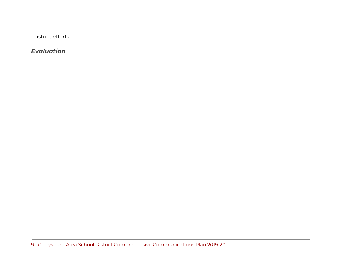| $\sim$<br>.<br>district efforts |
|---------------------------------|
|---------------------------------|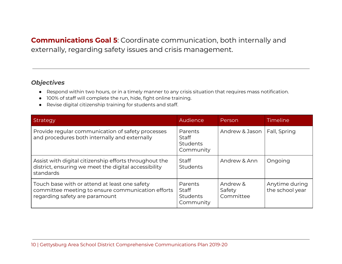**Communications Goal 5**: Coordinate communication, both internally and externally, regarding safety issues and crisis management.

#### *Objectives*

- Respond within two hours, or in a timely manner to any crisis situation that requires mass notification.
- 100% of staff will complete the run, hide, fight online training.
- Revise digital citizenship training for students and staff.

| Strategy                                                                                                                             | Audience                                         | Person                          | <b>Timeline</b>                   |
|--------------------------------------------------------------------------------------------------------------------------------------|--------------------------------------------------|---------------------------------|-----------------------------------|
| Provide regular communication of safety processes<br>and procedures both internally and externally                                   | Parents<br>Staff<br><b>Students</b><br>Community | Andrew & Jason                  | Fall, Spring                      |
| Assist with digital citizenship efforts throughout the<br>district, ensuring we meet the digital accessibility<br>standards          | Staff<br>Students                                | Andrew & Ann                    | Ongoing                           |
| Touch base with or attend at least one safety<br>committee meeting to ensure communication efforts<br>regarding safety are paramount | Parents<br>Staff<br><b>Students</b><br>Community | Andrew &<br>Safety<br>Committee | Anytime during<br>the school year |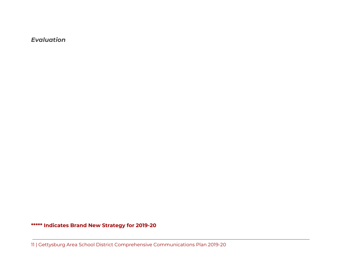#### **\*\*\*\*\* Indicates Brand New Strategy for 2019-20**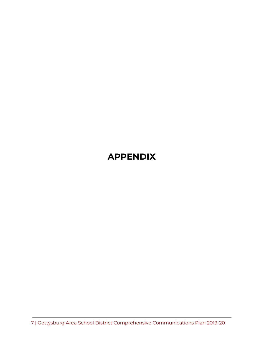### <span id="page-16-0"></span>**APPENDIX**

7 | Gettysburg Area School District Comprehensive Communications Plan 2019-20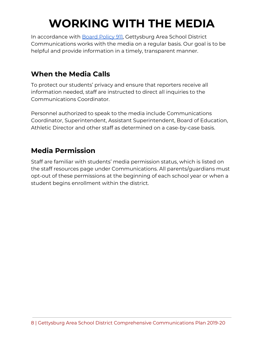# <span id="page-17-0"></span>**WORKING WITH THE MEDIA**

In accordance with [Board](http://go.boarddocs.com/pa/gett/Board.nsf/goto?open&id=A4UM6V536476) Policy 911, Gettysburg Area School District Communications works with the media on a regular basis. Our goal is to be helpful and provide information in a timely, transparent manner.

### **When the Media Calls**

To protect our students' privacy and ensure that reporters receive all information needed, staff are instructed to direct all inquiries to the Communications Coordinator.

Personnel authorized to speak to the media include Communications Coordinator, Superintendent, Assistant Superintendent, Board of Education, Athletic Director and other staff as determined on a case-by-case basis.

### **Media Permission**

Staff are familiar with students' media permission status, which is listed on the staff resources page under Communications. All parents/guardians must opt-out of these permissions at the beginning of each school year or when a student begins enrollment within the district.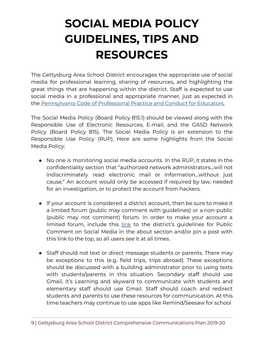# <span id="page-18-0"></span>**SOCIAL MEDIA POLICY GUIDELINES, TIPS AND RESOURCES**

The Gettysburg Area School District encourages the appropriate use of social media for professional learning, sharing of resources, and highlighting the great things that are happening within the district. Staff is expected to use social media in a professional and appropriate manner, just as expected in the [Pennsylvania](https://www.pacode.com/secure/data/022/chapter235/chap235toc.html) Code of Professional Practice and Conduct for Educators.

The Social Media Policy (Board Policy 815.1) should be viewed along with the Responsible Use of Electronic Resources, E-mail, and the GASD Network Policy (Board Policy 815). The Social Media Policy is an extension to the Responsible Use Policy (RUP). Here are some highlights from the Social Media Policy:

- No one is monitoring social media accounts. In the RUP, it states in the confidentiality section that "authorized network administrators...will not indiscriminately read electronic mail or information...without just cause." An account would only be accessed if required by law, needed for an investigation, or to protect the account from hackers.
- If your account is considered a district account, then be sure to make it a limited forum (public may comment with guidelines) or a non-public (public may not comment) forum. In order to make your account a limited forum, include this [link](https://www.gettysburg.k12.pa.us/Page/2393) to the district's guidelines for Public Comment on Social Media in the about section and/or pin a post with this link to the top, so all users see it at all times.
- Staff should not text or direct message students or parents. There may be exceptions to this (e.g. field trips, trips abroad). These exceptions should be discussed with a building administrator prior to using texts with students/parents in this situation. Secondary staff should use Gmail, It's Learning and skyward to communicate with students and elementary staff should use Gmail. Staff should coach and redirect students and parents to use these resources for communication. At this time teachers may continue to use apps like Remind/Seesaw for school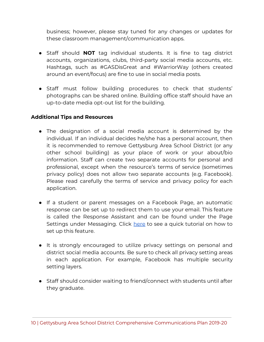business; however, please stay tuned for any changes or updates for these classroom management/communication apps.

- Staff should **NOT** tag individual students. It is fine to tag district accounts, organizations, clubs, third-party social media accounts, etc. Hashtags, such as #GASDisGreat and #WarriorWay (others created around an event/focus) are fine to use in social media posts.
- Staff must follow building procedures to check that students' photographs can be shared online. Building office staff should have an up-to-date media opt-out list for the building.

#### **Additional Tips and Resources**

- The designation of a social media account is determined by the individual. If an individual decides he/she has a personal account, then it is recommended to remove Gettysburg Area School District (or any other school building) as your place of work or your about/bio information. Staff can create two separate accounts for personal and professional, except when the resource's terms of service (sometimes privacy policy) does not allow two separate accounts (e.g. Facebook). Please read carefully the terms of service and privacy policy for each application.
- If a student or parent messages on a Facebook Page, an automatic response can be set up to redirect them to use your email. This feature is called the Response Assistant and can be found under the Page Settings under Messaging. Click [here](https://drive.google.com/file/d/15emyATH6FiVHF8LQ2oF2lesregZSDN3a/view?usp=sharing) to see a quick tutorial on how to set up this feature.
- It is strongly encouraged to utilize privacy settings on personal and district social media accounts. Be sure to check all privacy setting areas in each application. For example, Facebook has multiple security setting layers.
- Staff should consider waiting to friend/connect with students until after they graduate.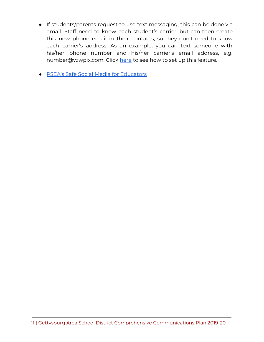- If students/parents request to use text messaging, this can be done via email. Staff need to know each student's carrier, but can then create this new phone email in their contacts, so they don't need to know each carrier's address. As an example, you can text someone with his/her phone number and his/her carrier's email address, e.g. number@vzwpix.com. Click [here](https://20somethingfinance.com/how-to-send-text-messages-sms-via-email-for-free/) to see how to set up this feature.
- PSEA's Safe Social Media for [Educators](https://archive.psea.org/general.aspx?id=828)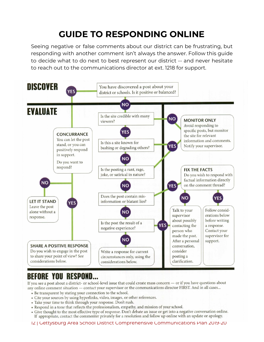## **GUIDE TO RESPONDING ONLINE**

<span id="page-21-0"></span>Seeing negative or false comments about our district can be frustrating, but responding with another comment isn't always the answer. Follow this guide to decide what to do next to best represent our district -- and never hesitate to reach out to the communications director at ext. 1218 for support.



### **BEFORE YOU RESPOND...**

If you see a post about a district- or school-level issue that could create mass concern — or if you have questions about any online comment situation — contact your supervisor or the communications director FIRST. And in all cases...

- Be transparent by stating your connection to the school.
- Cite your sources by using hyperlinks, video, images, or other references.
- Take your time to think through your response. Don't rush.
- Respond in a tone that reflects the professionalism, empathy, and mission of your school.
- · Give thought to the most effective type of response. Don't debate an issue or get into a negative conversation online. If appropriate, contact the commenter privately for a resolution and follow up online with an update or apology.

#### 12 | Gettysburg Area School District Comprehensive Communications Plan 2019-20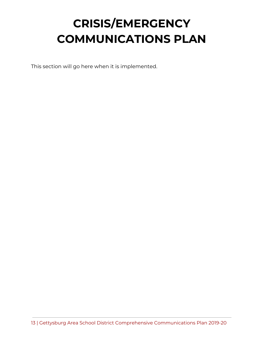# <span id="page-22-0"></span>**CRISIS/EMERGENCY COMMUNICATIONS PLAN**

This section will go here when it is implemented.